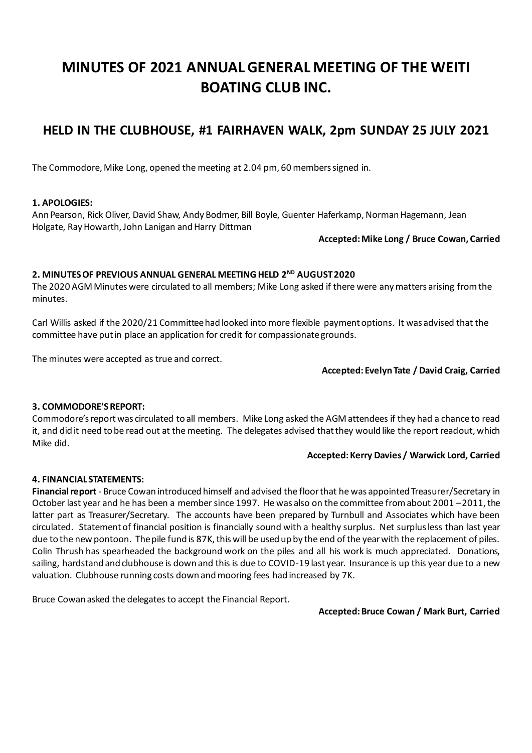# **MINUTES OF 2021 ANNUAL GENERAL MEETING OF THE WEITI BOATING CLUB INC.**

# **HELD IN THE CLUBHOUSE, #1 FAIRHAVEN WALK, 2pm SUNDAY 25 JULY 2021**

The Commodore, Mike Long, opened the meeting at 2.04 pm, 60 members signed in.

# **1. APOLOGIES:**

Ann Pearson, Rick Oliver, David Shaw, Andy Bodmer, Bill Boyle, Guenter Haferkamp, Norman Hagemann, Jean Holgate, Ray Howarth, John Lanigan and Harry Dittman

#### **Accepted: Mike Long / Bruce Cowan, Carried**

# **2. MINUTES OF PREVIOUS ANNUAL GENERAL MEETING HELD 2 ND AUGUST 2020**

The 2020 AGM Minutes were circulated to all members; Mike Long asked if there were any matters arising from the minutes.

Carl Willis asked if the 2020/21 Committee had looked into more flexible payment options. It was advised that the committee have put in place an application for credit for compassionate grounds.

The minutes were accepted as true and correct.

#### **Accepted: Evelyn Tate / David Craig, Carried**

# **3. COMMODORE'S REPORT:**

Commodore's report was circulated to all members. Mike Long asked the AGM attendees if they had a chance to read it, and did it need to be read out at the meeting. The delegates advised that they would like the report readout, which Mike did.

#### **Accepted: Kerry Davies / Warwick Lord, Carried**

#### **4. FINANCIAL STATEMENTS:**

**Financial report** - Bruce Cowan introduced himself and advised the floor that he was appointed Treasurer/Secretary in October last year and he has been a member since 1997. He was also on the committee from about 2001 –2011, the latter part as Treasurer/Secretary. The accounts have been prepared by Turnbull and Associates which have been circulated. Statement of financial position is financially sound with a healthy surplus. Net surplus less than last year due to the new pontoon. The pile fund is 87K, this will be used up by the end of the year with the replacement of piles. Colin Thrush has spearheaded the background work on the piles and all his work is much appreciated. Donations, sailing, hardstand and clubhouse is down and this is due to COVID-19 last year. Insurance is up this year due to a new valuation. Clubhouse running costs down and mooring fees had increased by 7K.

Bruce Cowan asked the delegates to accept the Financial Report.

#### **Accepted: Bruce Cowan / Mark Burt, Carried**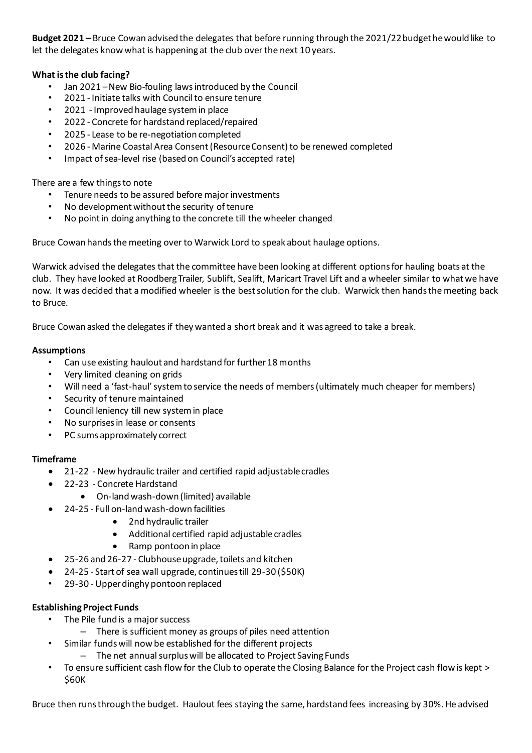**Budget 2021 –** Bruce Cowan advised the delegates that before running through the 2021/22 budget he would like to let the delegates know what is happening at the club over the next 10 years.

# **What is the club facing?**

- Jan 2021 –New Bio-fouling laws introduced by the Council
- 2021 Initiate talks with Council to ensure tenure
- 2021 Improved haulage system in place
- 2022 Concrete for hardstand replaced/repaired
- 2025 Lease to be re-negotiation completed
- 2026 Marine Coastal Area Consent (Resource Consent) to be renewed completed
- Impact of sea-level rise (based on Council's accepted rate)

There are a few things to note

- Tenure needs to be assured before major investments
- No development without the security of tenure
- No point in doing anything to the concrete till the wheeler changed

Bruce Cowan hands the meeting over to Warwick Lord to speak about haulage options.

Warwick advised the delegates that the committee have been looking at different options for hauling boats at the club. They have looked at Roodberg Trailer, Sublift, Sealift, Maricart Travel Lift and a wheeler similar to what we have now. It was decided that a modified wheeler is the bestsolution for the club. Warwick then hands the meeting back to Bruce.

Bruce Cowan asked the delegates if they wanted a short break and it was agreed to take a break.

#### **Assumptions**

- Can use existing haulout and hardstand for further 18 months
- Very limited cleaning on grids
- Will need a 'fast-haul' system to service the needs of members (ultimately much cheaper for members)
- Security of tenure maintained
- Council leniency till new system in place
- No surprises in lease or consents
- PC sums approximately correct

#### **Timeframe**

- 21-22 -New hydraulic trailer and certified rapid adjustable cradles
- 22-23 Concrete Hardstand
	- On-land wash-down (limited) available
- 24-25 Full on-land wash-down facilities
	- 2nd hydraulic trailer
	- Additional certified rapid adjustable cradles
	- Ramp pontoon in place
- 25-26 and 26-27 Clubhouse upgrade, toilets and kitchen
- 24-25 Start of sea wall upgrade, continues till 29-30 (\$50K)
- 29-30 Upper dinghy pontoon replaced

#### **Establishing Project Funds**

- The Pile fund is a major success
	- There is sufficient money as groups of piles need attention
	- Similar funds will now be established for the different projects
		- The net annual surplus will be allocated to Project Saving Funds
- To ensure sufficient cash flow for the Club to operate the Closing Balance for the Project cash flow is kept > \$60K

Bruce then runs through the budget. Haulout fees staying the same, hardstand fees increasing by 30%. He advised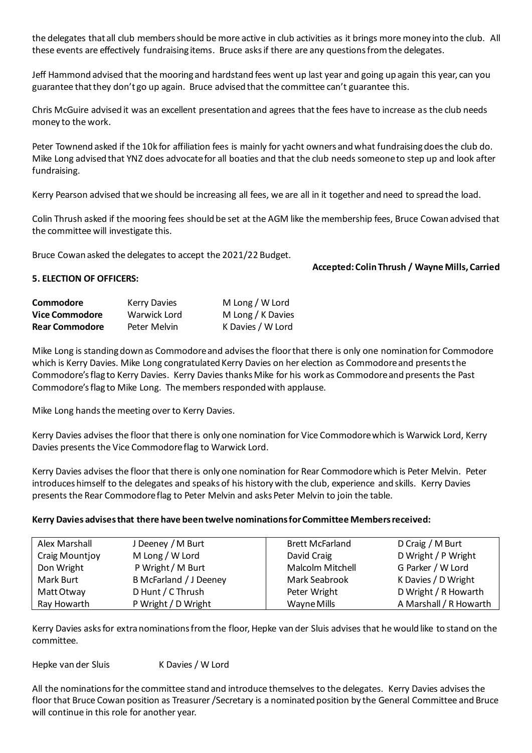the delegates that all club members should be more active in club activities as it brings more money into the club. All these events are effectively fundraising items. Bruce asks if there are any questions from the delegates.

Jeff Hammond advised that the mooring and hardstand fees went up last year and going up again this year, can you guarantee that they don't go up again. Bruce advised that the committee can't guarantee this.

Chris McGuire advised it was an excellent presentation and agrees that the fees have to increase as the club needs money to the work.

Peter Townend asked if the 10k for affiliation fees is mainly for yacht owners and what fundraising does the club do. Mike Long advised that YNZ does advocate for all boaties and that the club needs someone to step up and look after fundraising.

Kerry Pearson advised that we should be increasing all fees, we are all in it together and need to spread the load.

Colin Thrush asked if the mooring fees should be set at the AGM like the membership fees, Bruce Cowan advised that the committee will investigate this.

Bruce Cowan asked the delegates to accept the 2021/22 Budget.

#### **Accepted: Colin Thrush / Wayne Mills, Carried**

#### **5. ELECTION OF OFFICERS:**

| Commodore             | <b>Kerry Davies</b> | M Long / W Lord   |
|-----------------------|---------------------|-------------------|
| <b>Vice Commodore</b> | Warwick Lord        | M Long / K Davies |
| <b>Rear Commodore</b> | Peter Melvin        | K Davies / W Lord |

Mike Long is standing down as Commodore and advises the floor that there is only one nomination for Commodore which is Kerry Davies. Mike Long congratulated Kerry Davies on her election as Commodore and presents the Commodore's flag to Kerry Davies. Kerry Davies thanks Mike for his work as Commodore and presents the Past Commodore's flag to Mike Long. The members responded with applause.

Mike Long hands the meeting over to Kerry Davies.

Kerry Davies advises the floor that there is only one nomination for Vice Commodore which is Warwick Lord, Kerry Davies presents the Vice Commodore flag to Warwick Lord.

Kerry Davies advises the floor that there is only one nomination for Rear Commodore which is Peter Melvin. Peter introduces himself to the delegates and speaks of his history with the club, experience and skills. Kerry Davies presents the Rear Commodore flag to Peter Melvin and asks Peter Melvin to join the table.

#### **Kerry Davies advises that there have been twelve nominations for Committee Members received:**

| Alex Marshall         | J Deeney / M Burt      | <b>Brett McFarland</b> | D Craig / M Burt       |
|-----------------------|------------------------|------------------------|------------------------|
| <b>Craig Mountjoy</b> | M Long / W Lord        | David Craig            | D Wright / P Wright    |
| Don Wright            | P Wright / M Burt      | Malcolm Mitchell       | G Parker / W Lord      |
| Mark Burt             | B McFarland / J Deeney | Mark Seabrook          | K Davies / D Wright    |
| Matt Otway            | D Hunt / C Thrush      | Peter Wright           | D Wright / R Howarth   |
| Ray Howarth           | P Wright / D Wright    | Wayne Mills            | A Marshall / R Howarth |

Kerry Davies asks for extra nominations from the floor, Hepke van der Sluis advises that he would like to stand on the committee.

Hepke van der Sluis K Davies / W Lord

All the nominations for the committee stand and introduce themselves to the delegates. Kerry Davies advises the floor that Bruce Cowan position as Treasurer /Secretary is a nominated position by the General Committee and Bruce will continue in this role for another year.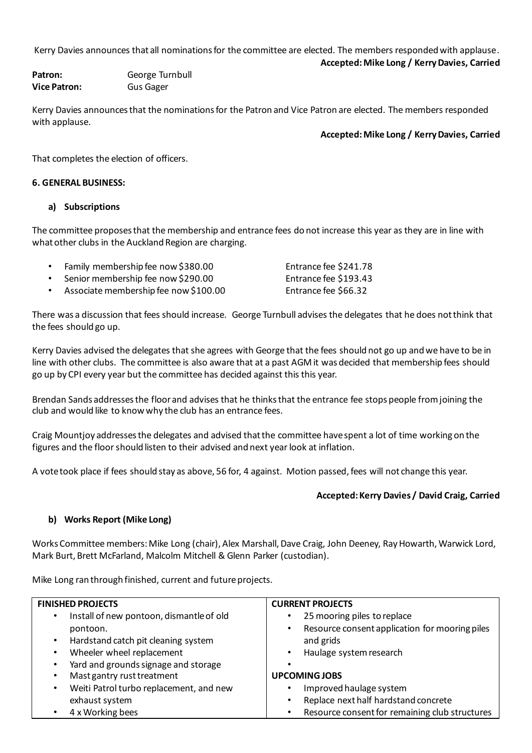Kerry Davies announces that all nominations for the committee are elected. The members responded with applause.

**Accepted: Mike Long / Kerry Davies, Carried**

Patron: **George Turnbull Vice Patron:** Gus Gager

Kerry Davies announces that the nominations for the Patron and Vice Patron are elected. The members responded with applause.

**Accepted: Mike Long / KerryDavies, Carried**

That completes the election of officers.

#### **6. GENERAL BUSINESS:**

#### **a) Subscriptions**

The committee proposes that the membership and entrance fees do not increase this year as they are in line with what other clubs in the Auckland Region are charging.

- Family membership fee now \$380.00 Entrance fee \$241.78
- Senior membership fee now \$290.00 Entrance fee \$193.43
- Associate membership fee now \$100.00 Entrance fee \$66.32

There was a discussion that fees should increase. George Turnbull advises the delegates that he does not think that the fees should go up.

Kerry Davies advised the delegates that she agrees with George that the fees should not go up and we have to be in line with other clubs. The committee is also aware that at a past AGM it was decided that membership fees should go up by CPI every year but the committee has decided against this this year.

Brendan Sands addresses the floor and advises that he thinks that the entrance fee stops people from joining the club and would like to know why the club has an entrance fees.

Craig Mountjoy addresses the delegates and advised that the committee have spent a lot of time working on the figures and the floor should listen to their advised and next year look at inflation.

A vote took place if fees should stay as above, 56 for, 4 against. Motion passed, fees will not change this year.

# **Accepted: Kerry Davies / David Craig, Carried**

# **b) Works Report (Mike Long)**

Works Committee members: Mike Long (chair), Alex Marshall, Dave Craig, John Deeney, Ray Howarth, Warwick Lord, Mark Burt, Brett McFarland, Malcolm Mitchell & Glenn Parker (custodian).

Mike Long ran through finished, current and future projects.

| <b>FINISHED PROJECTS</b>                              | <b>CURRENT PROJECTS</b>                        |
|-------------------------------------------------------|------------------------------------------------|
| Install of new pontoon, dismantle of old<br>$\bullet$ | 25 mooring piles to replace                    |
| pontoon.                                              | Resource consent application for mooring piles |
| Hardstand catch pit cleaning system<br>$\bullet$      | and grids                                      |
| Wheeler wheel replacement<br>$\bullet$                | Haulage system research                        |
| Yard and grounds signage and storage<br>٠             |                                                |
| Mast gantry rust treatment<br>٠                       | <b>UPCOMING JOBS</b>                           |
| Weiti Patrol turbo replacement, and new<br>$\bullet$  | Improved haulage system<br>$\bullet$           |
| exhaust system                                        | Replace next half hardstand concrete<br>٠      |
| 4 x Working bees<br>$\bullet$                         | Resource consent for remaining club structures |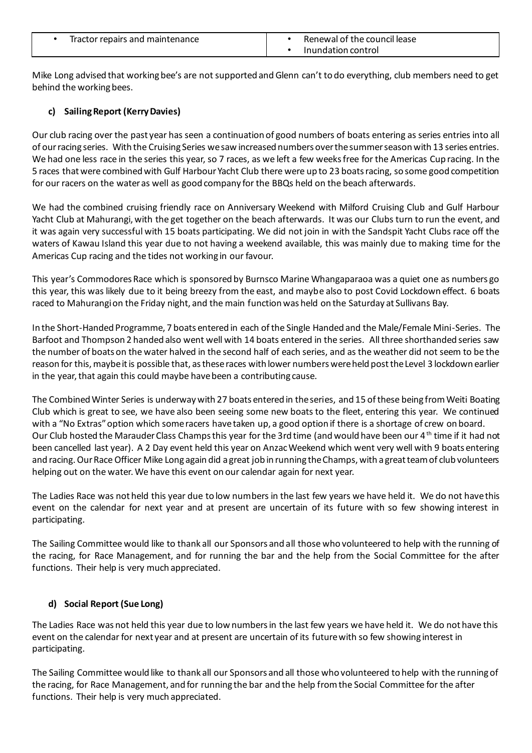| Tractor repairs and maintenance | Renewal of the council lease |
|---------------------------------|------------------------------|
|                                 | Inundation control           |

Mike Long advised that working bee's are not supported and Glenn can't to do everything, club members need to get behind the working bees.

# **c) Sailing Report (Kerry Davies)**

Our club racing over the past year has seen a continuation of good numbers of boats entering as series entries into all of our racing series. With the Cruising Series we saw increased numbers over the summer season with 13 series entries. We had one less race in the series this year, so 7 races, as we left a few weeks free for the Americas Cup racing. In the 5 races that were combined with Gulf Harbour Yacht Club there were up to 23 boats racing, so some good competition for our racers on the water as well as good company for the BBQs held on the beach afterwards.

We had the combined cruising friendly race on Anniversary Weekend with Milford Cruising Club and Gulf Harbour Yacht Club at Mahurangi, with the get together on the beach afterwards. It was our Clubs turn to run the event, and it was again very successful with 15 boats participating. We did not join in with the Sandspit Yacht Clubs race off the waters of Kawau Island this year due to not having a weekend available, this was mainly due to making time for the Americas Cup racing and the tides not working in our favour.

This year's Commodores Race which is sponsored by Burnsco Marine Whangaparaoa was a quiet one as numbers go this year, this was likely due to it being breezy from the east, and maybe also to post Covid Lockdown effect. 6 boats raced to Mahurangi on the Friday night, and the main function was held on the Saturday at Sullivans Bay.

In the Short-Handed Programme, 7 boats entered in each of the Single Handed and the Male/Female Mini-Series. The Barfoot and Thompson 2 handed also went well with 14 boats entered in the series. All three shorthanded series saw the number of boats on the water halved in the second half of each series, and as the weather did not seem to be the reason for this, maybe it is possible that, as these races with lower numbers were held post the Level 3 lockdown earlier in the year, that again this could maybe have been a contributing cause.

The Combined Winter Series is underway with 27 boats entered in the series, and 15 of these being from Weiti Boating Club which is great to see, we have also been seeing some new boats to the fleet, entering this year. We continued with a "No Extras" option which some racers have taken up, a good option if there is a shortage of crew on board. Our Club hosted the Marauder Class Champs this year for the 3rd time (and would have been our 4<sup>th</sup> time if it had not been cancelled last year). A 2 Day event held this year on Anzac Weekend which went very well with 9 boats entering and racing. Our Race Officer Mike Long again did a great job in running the Champs, with a great team of club volunteers helping out on the water. We have this event on our calendar again for next year.

The Ladies Race was not held this year due to low numbers in the last few years we have held it. We do not have this event on the calendar for next year and at present are uncertain of its future with so few showing interest in participating.

The Sailing Committee would like to thank all our Sponsors and all those who volunteered to help with the running of the racing, for Race Management, and for running the bar and the help from the Social Committee for the after functions. Their help is very much appreciated.

# **d) Social Report (Sue Long)**

The Ladies Race was not held this year due to low numbers in the last few years we have held it. We do not have this event on the calendar for next year and at present are uncertain of its future with so few showing interest in participating.

The Sailing Committee would like to thank all our Sponsors and all those who volunteered to help with the running of the racing, for Race Management, and for running the bar and the help from the Social Committee for the after functions. Their help is very much appreciated.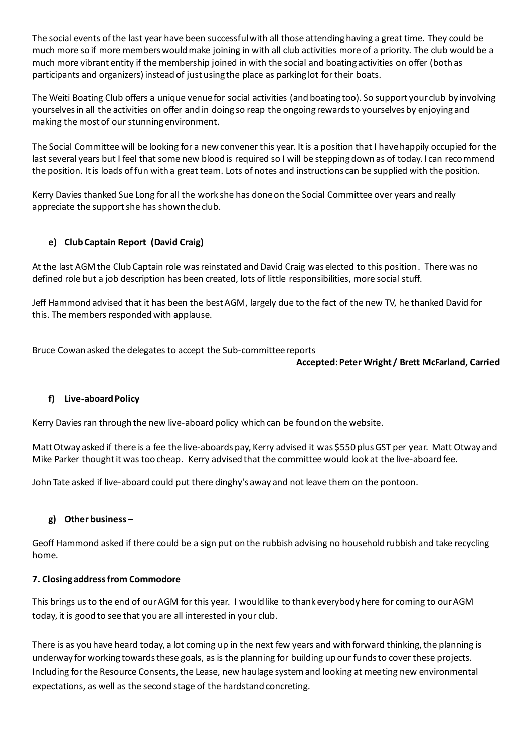The social events of the last year have been successful with all those attending having a great time. They could be much more so if more members would make joining in with all club activities more of a priority. The club would be a much more vibrant entity if the membership joined in with the social and boating activities on offer (both as participants and organizers) instead of just using the place as parking lot for their boats.

The Weiti Boating Club offers a unique venue for social activities (and boating too). So support your club by involving yourselves in all the activities on offer and in doing so reap the ongoing rewards to yourselves by enjoying and making the most of our stunning environment.

The Social Committee will be looking for a new convener this year. It is a position that I have happily occupied for the last several years but I feel that some new blood is required so I will be stepping down as of today. I can recommend the position. It is loads of fun with a great team. Lots of notes and instructions can be supplied with the position.

Kerry Davies thanked Sue Long for all the work she has done on the Social Committee over years and really appreciate the support she has shown the club.

# **e) Club Captain Report (David Craig)**

At the last AGM the Club Captain role was reinstated and David Craig was elected to this position. There was no defined role but a job description has been created, lots of little responsibilities, more social stuff.

Jeff Hammond advised that it has been the best AGM, largely due to the fact of the new TV, he thanked David for this. The members responded with applause.

Bruce Cowan asked the delegates to accept the Sub-committee reports

#### **Accepted: Peter Wright / Brett McFarland, Carried**

# **f) Live-aboard Policy**

Kerry Davies ran through the new live-aboard policy which can be found on the website.

Matt Otway asked if there is a fee the live-aboards pay, Kerry advised it was \$550 plus GST per year. Matt Otway and Mike Parker thought it was too cheap. Kerry advised that the committee would look at the live-aboard fee.

John Tate asked if live-aboard could put there dinghy's away and not leave them on the pontoon.

# **g) Other business –**

Geoff Hammond asked if there could be a sign put on the rubbish advising no household rubbish and take recycling home.

# **7. Closing address from Commodore**

This brings us to the end of our AGM for this year. I would like to thank everybody here for coming to our AGM today, it is good to see that you are all interested in your club.

There is as you have heard today, a lot coming up in the next few years and with forward thinking, the planning is underway for working towards these goals, as is the planning for building up our funds to cover these projects. Including for the Resource Consents, the Lease, new haulage system and looking at meeting new environmental expectations, as well as the second stage of the hardstand concreting.